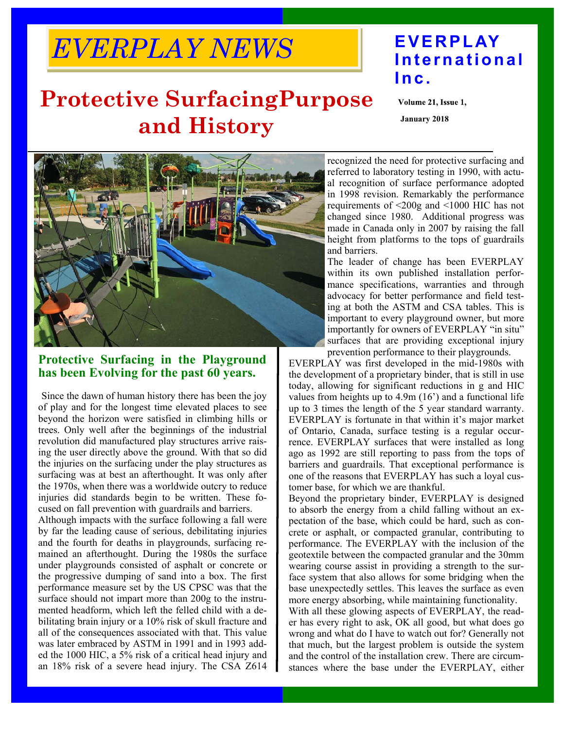# *EVERPLAY NEWS* **EVERPLAY**

### **Protective SurfacingPurpose and History**

## **International Inc.**

Volume 21, Issue 1,

**January 2018** 



#### **Protective Surfacing in the Playground has been Evolving for the past 60 years.**

Since the dawn of human history there has been the joy of play and for the longest time elevated places to see beyond the horizon were satisfied in climbing hills or trees. Only well after the beginnings of the industrial revolution did manufactured play structures arrive raising the user directly above the ground. With that so did the injuries on the surfacing under the play structures as surfacing was at best an afterthought. It was only after the 1970s, when there was a worldwide outcry to reduce injuries did standards begin to be written. These focused on fall prevention with guardrails and barriers.

Although impacts with the surface following a fall were by far the leading cause of serious, debilitating injuries and the fourth for deaths in playgrounds, surfacing remained an afterthought. During the 1980s the surface under playgrounds consisted of asphalt or concrete or the progressive dumping of sand into a box. The first performance measure set by the US CPSC was that the surface should not impart more than 200g to the instrumented headform, which left the felled child with a debilitating brain injury or a 10% risk of skull fracture and all of the consequences associated with that. This value was later embraced by ASTM in 1991 and in 1993 added the 1000 HIC, a 5% risk of a critical head injury and an 18% risk of a severe head injury. The CSA Z614

recognized the need for protective surfacing and referred to laboratory testing in 1990, with actual recognition of surface performance adopted in 1998 revision. Remarkably the performance requirements of <200g and <1000 HIC has not changed since 1980. Additional progress was made in Canada only in 2007 by raising the fall height from platforms to the tops of guardrails and barriers.

The leader of change has been EVERPLAY within its own published installation performance specifications, warranties and through advocacy for better performance and field testing at both the ASTM and CSA tables. This is important to every playground owner, but more importantly for owners of EVERPLAY "in situ" surfaces that are providing exceptional injury prevention performance to their playgrounds.

EVERPLAY was first developed in the mid-1980s with the development of a proprietary binder, that is still in use today, allowing for significant reductions in g and HIC values from heights up to 4.9m (16') and a functional life up to 3 times the length of the 5 year standard warranty. EVERPLAY is fortunate in that within it's major market of Ontario, Canada, surface testing is a regular occurrence. EVERPLAY surfaces that were installed as long ago as 1992 are still reporting to pass from the tops of barriers and guardrails. That exceptional performance is one of the reasons that EVERPLAY has such a loyal customer base, for which we are thankful.

Beyond the proprietary binder, EVERPLAY is designed to absorb the energy from a child falling without an expectation of the base, which could be hard, such as concrete or asphalt, or compacted granular, contributing to performance. The EVERPLAY with the inclusion of the geotextile between the compacted granular and the 30mm wearing course assist in providing a strength to the surface system that also allows for some bridging when the base unexpectedly settles. This leaves the surface as even more energy absorbing, while maintaining functionality.

With all these glowing aspects of EVERPLAY, the reader has every right to ask, OK all good, but what does go wrong and what do I have to watch out for? Generally not that much, but the largest problem is outside the system and the control of the installation crew. There are circumstances where the base under the EVERPLAY, either